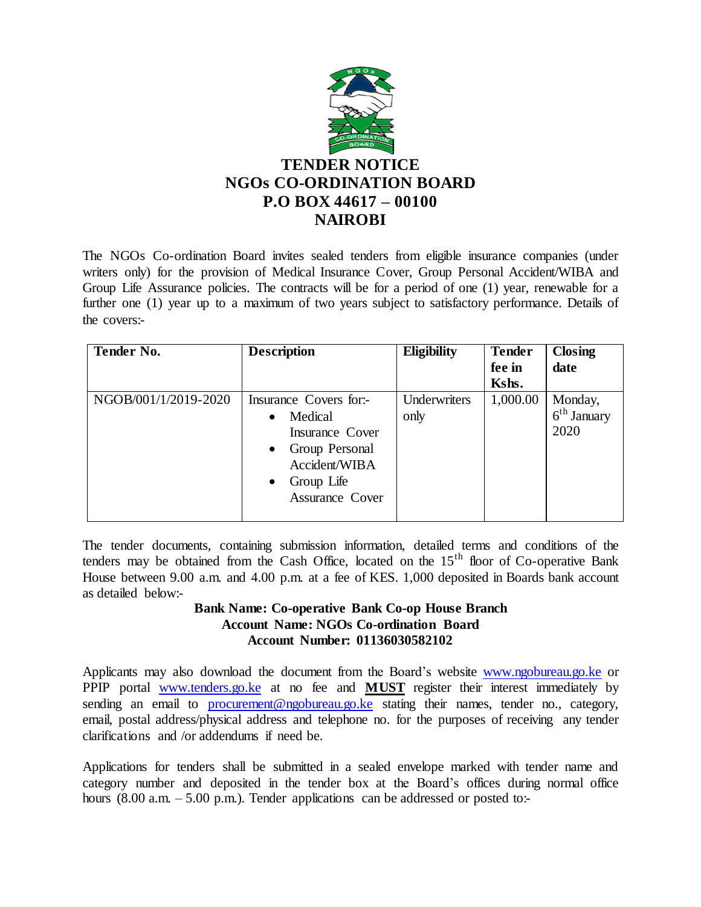

The NGOs Co-ordination Board invites sealed tenders from eligible insurance companies (under writers only) for the provision of Medical Insurance Cover, Group Personal Accident/WIBA and Group Life Assurance policies. The contracts will be for a period of one (1) year, renewable for a further one (1) year up to a maximum of two years subject to satisfactory performance. Details of the covers:-

| <b>Tender No.</b>    | <b>Description</b>                                                                                                                                                     | <b>Eligibility</b>   | <b>Tender</b><br>fee in | <b>Closing</b><br>date           |
|----------------------|------------------------------------------------------------------------------------------------------------------------------------------------------------------------|----------------------|-------------------------|----------------------------------|
|                      |                                                                                                                                                                        |                      | Kshs.                   |                                  |
| NGOB/001/1/2019-2020 | Insurance Covers for:-<br>Medical<br>$\bullet$<br>Insurance Cover<br>Group Personal<br>$\bullet$<br>Accident/WIBA<br>Group Life<br>$\bullet$<br><b>Assurance Cover</b> | Underwriters<br>only | 1,000.00                | Monday,<br>$6th$ January<br>2020 |

The tender documents, containing submission information, detailed terms and conditions of the tenders may be obtained from the Cash Office, located on the  $15<sup>th</sup>$  floor of Co-operative Bank House between 9.00 a.m. and 4.00 p.m. at a fee of KES. 1,000 deposited in Boards bank account as detailed below:-

## **Bank Name: Co-operative Bank Co-op House Branch Account Name: NGOs Co-ordination Board Account Number: 01136030582102**

Applicants may also download the document from the Board's websit[e www.ngobureau.go.ke](http://www.ngobureau.go.ke/) or PPIP portal [www.tenders.go.ke](http://www.tenders.go.ke/) at no fee and **MUST** register their interest immediately by sending an email to [procurement@ngobureau.go.ke](mailto:procurement@ngobureau.go.ke) stating their names, tender no., category, email, postal address/physical address and telephone no. for the purposes of receiving any tender clarifications and /or addendums if need be.

Applications for tenders shall be submitted in a sealed envelope marked with tender name and category number and deposited in the tender box at the Board's offices during normal office hours (8.00 a.m. – 5.00 p.m.). Tender applications can be addressed or posted to:-